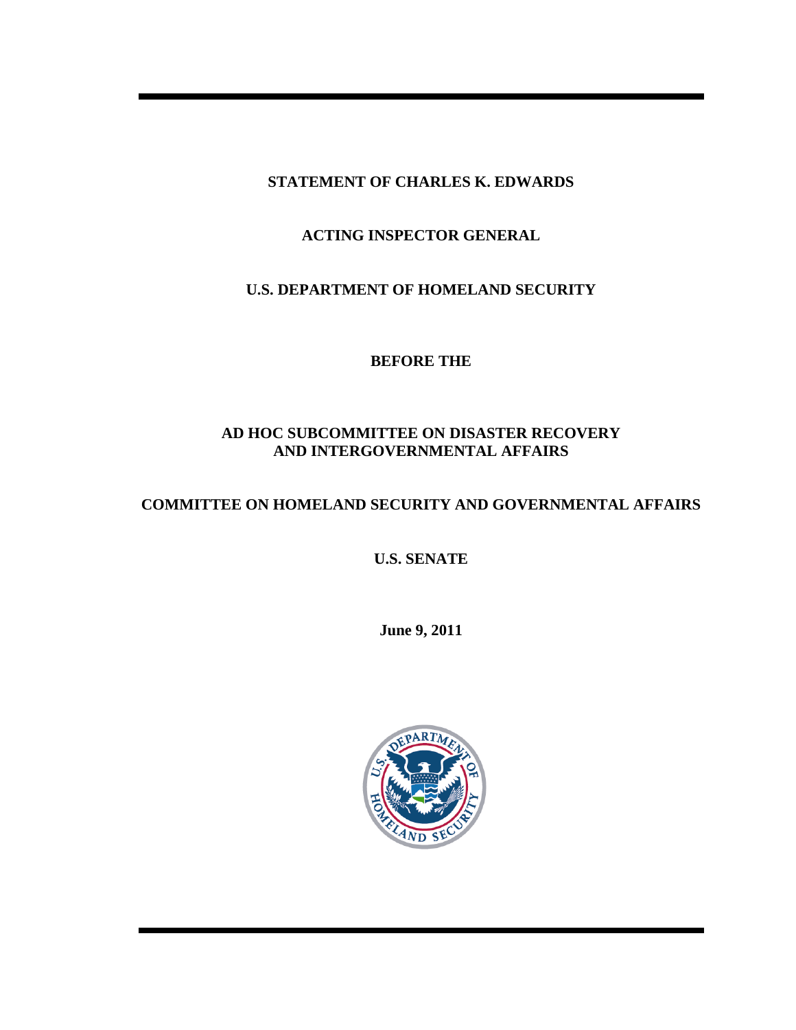**STATEMENT OF CHARLES K. EDWARDS** 

**ACTING INSPECTOR GENERAL** 

**U.S. DEPARTMENT OF HOMELAND SECURITY** 

**BEFORE THE** 

# **AD HOC SUBCOMMITTEE ON DISASTER RECOVERY AND INTERGOVERNMENTAL AFFAIRS**

## **COMMITTEE ON HOMELAND SECURITY AND GOVERNMENTAL AFFAIRS**

**U.S. SENATE** 

**June 9, 2011**

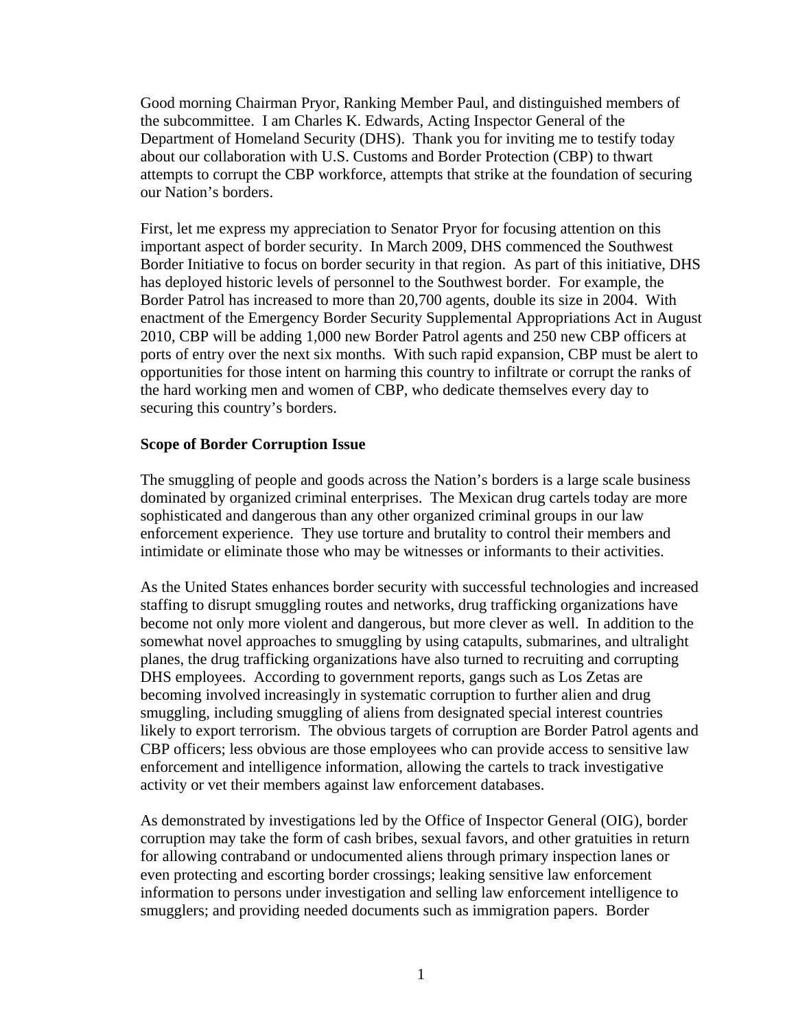Good morning Chairman Pryor, Ranking Member Paul, and distinguished members of the subcommittee. I am Charles K. Edwards, Acting Inspector General of the Department of Homeland Security (DHS). Thank you for inviting me to testify today about our collaboration with U.S. Customs and Border Protection (CBP) to thwart attempts to corrupt the CBP workforce, attempts that strike at the foundation of securing our Nation's borders.

First, let me express my appreciation to Senator Pryor for focusing attention on this important aspect of border security. In March 2009, DHS commenced the Southwest Border Initiative to focus on border security in that region. As part of this initiative, DHS has deployed historic levels of personnel to the Southwest border. For example, the Border Patrol has increased to more than 20,700 agents, double its size in 2004. With enactment of the Emergency Border Security Supplemental Appropriations Act in August 2010, CBP will be adding 1,000 new Border Patrol agents and 250 new CBP officers at ports of entry over the next six months. With such rapid expansion, CBP must be alert to opportunities for those intent on harming this country to infiltrate or corrupt the ranks of the hard working men and women of CBP, who dedicate themselves every day to securing this country's borders.

#### **Scope of Border Corruption Issue**

The smuggling of people and goods across the Nation's borders is a large scale business dominated by organized criminal enterprises. The Mexican drug cartels today are more sophisticated and dangerous than any other organized criminal groups in our law enforcement experience. They use torture and brutality to control their members and intimidate or eliminate those who may be witnesses or informants to their activities.

As the United States enhances border security with successful technologies and increased staffing to disrupt smuggling routes and networks, drug trafficking organizations have become not only more violent and dangerous, but more clever as well. In addition to the somewhat novel approaches to smuggling by using catapults, submarines, and ultralight planes, the drug trafficking organizations have also turned to recruiting and corrupting DHS employees. According to government reports, gangs such as Los Zetas are becoming involved increasingly in systematic corruption to further alien and drug smuggling, including smuggling of aliens from designated special interest countries likely to export terrorism. The obvious targets of corruption are Border Patrol agents and CBP officers; less obvious are those employees who can provide access to sensitive law enforcement and intelligence information, allowing the cartels to track investigative activity or vet their members against law enforcement databases.

As demonstrated by investigations led by the Office of Inspector General (OIG), border corruption may take the form of cash bribes, sexual favors, and other gratuities in return for allowing contraband or undocumented aliens through primary inspection lanes or even protecting and escorting border crossings; leaking sensitive law enforcement information to persons under investigation and selling law enforcement intelligence to smugglers; and providing needed documents such as immigration papers. Border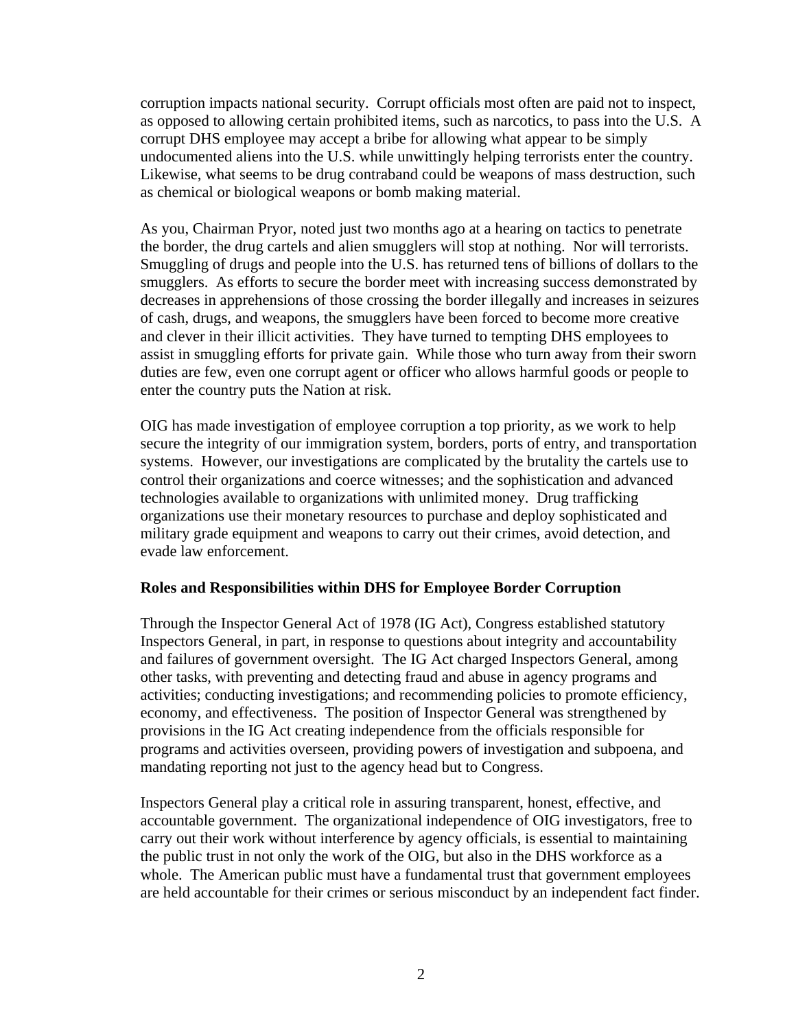corruption impacts national security. Corrupt officials most often are paid not to inspect, as opposed to allowing certain prohibited items, such as narcotics, to pass into the U.S. A corrupt DHS employee may accept a bribe for allowing what appear to be simply undocumented aliens into the U.S. while unwittingly helping terrorists enter the country. Likewise, what seems to be drug contraband could be weapons of mass destruction, such as chemical or biological weapons or bomb making material.

As you, Chairman Pryor, noted just two months ago at a hearing on tactics to penetrate the border, the drug cartels and alien smugglers will stop at nothing. Nor will terrorists. Smuggling of drugs and people into the U.S. has returned tens of billions of dollars to the smugglers. As efforts to secure the border meet with increasing success demonstrated by decreases in apprehensions of those crossing the border illegally and increases in seizures of cash, drugs, and weapons, the smugglers have been forced to become more creative and clever in their illicit activities. They have turned to tempting DHS employees to assist in smuggling efforts for private gain. While those who turn away from their sworn duties are few, even one corrupt agent or officer who allows harmful goods or people to enter the country puts the Nation at risk.

OIG has made investigation of employee corruption a top priority, as we work to help secure the integrity of our immigration system, borders, ports of entry, and transportation systems. However, our investigations are complicated by the brutality the cartels use to control their organizations and coerce witnesses; and the sophistication and advanced technologies available to organizations with unlimited money. Drug trafficking organizations use their monetary resources to purchase and deploy sophisticated and military grade equipment and weapons to carry out their crimes, avoid detection, and evade law enforcement.

#### **Roles and Responsibilities within DHS for Employee Border Corruption**

Through the Inspector General Act of 1978 (IG Act), Congress established statutory Inspectors General, in part, in response to questions about integrity and accountability and failures of government oversight. The IG Act charged Inspectors General, among other tasks, with preventing and detecting fraud and abuse in agency programs and activities; conducting investigations; and recommending policies to promote efficiency, economy, and effectiveness. The position of Inspector General was strengthened by provisions in the IG Act creating independence from the officials responsible for programs and activities overseen, providing powers of investigation and subpoena, and mandating reporting not just to the agency head but to Congress.

Inspectors General play a critical role in assuring transparent, honest, effective, and accountable government. The organizational independence of OIG investigators, free to carry out their work without interference by agency officials, is essential to maintaining the public trust in not only the work of the OIG, but also in the DHS workforce as a whole. The American public must have a fundamental trust that government employees are held accountable for their crimes or serious misconduct by an independent fact finder.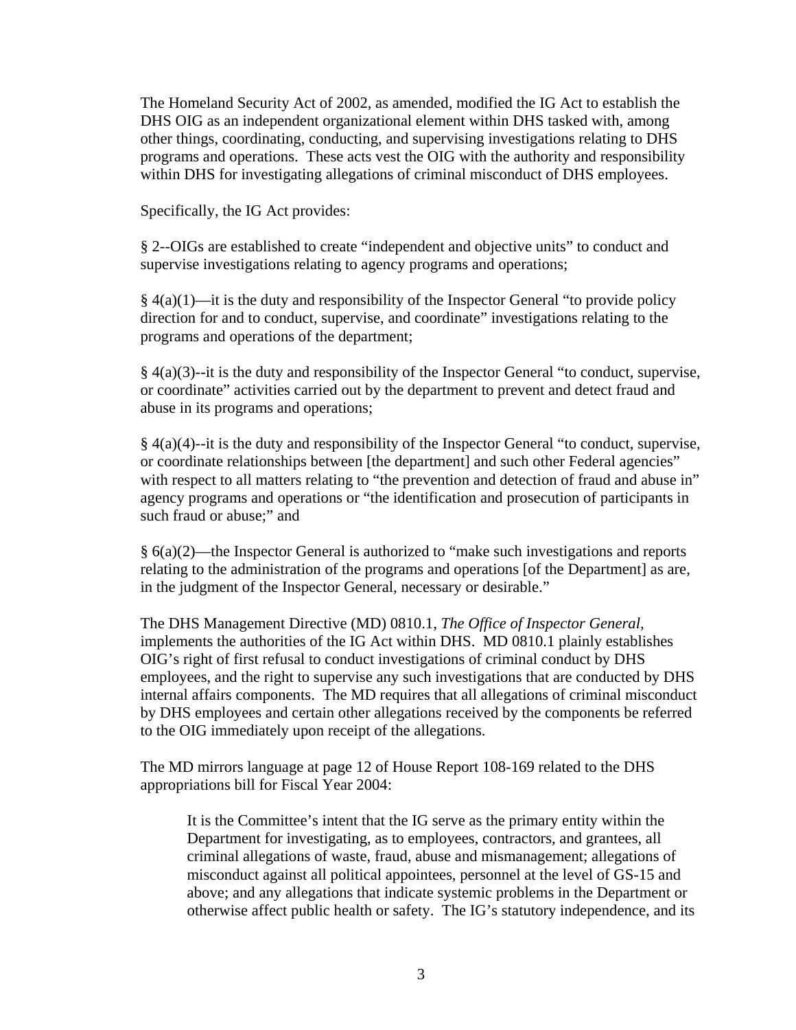The Homeland Security Act of 2002, as amended, modified the IG Act to establish the DHS OIG as an independent organizational element within DHS tasked with, among other things, coordinating, conducting, and supervising investigations relating to DHS programs and operations. These acts vest the OIG with the authority and responsibility within DHS for investigating allegations of criminal misconduct of DHS employees.

Specifically, the IG Act provides:

§ 2--OIGs are established to create "independent and objective units" to conduct and supervise investigations relating to agency programs and operations;

 $§$  4(a)(1)—it is the duty and responsibility of the Inspector General "to provide policy direction for and to conduct, supervise, and coordinate" investigations relating to the programs and operations of the department;

 $§$  4(a)(3)--it is the duty and responsibility of the Inspector General "to conduct, supervise, or coordinate" activities carried out by the department to prevent and detect fraud and abuse in its programs and operations;

§ 4(a)(4)--it is the duty and responsibility of the Inspector General "to conduct, supervise, or coordinate relationships between [the department] and such other Federal agencies" with respect to all matters relating to "the prevention and detection of fraud and abuse in" agency programs and operations or "the identification and prosecution of participants in such fraud or abuse;" and

§ 6(a)(2)—the Inspector General is authorized to "make such investigations and reports relating to the administration of the programs and operations [of the Department] as are, in the judgment of the Inspector General, necessary or desirable."

The DHS Management Directive (MD) 0810.1, *The Office of Inspector General,* implements the authorities of the IG Act within DHS. MD 0810.1 plainly establishes OIG's right of first refusal to conduct investigations of criminal conduct by DHS employees, and the right to supervise any such investigations that are conducted by DHS internal affairs components. The MD requires that all allegations of criminal misconduct by DHS employees and certain other allegations received by the components be referred to the OIG immediately upon receipt of the allegations.

The MD mirrors language at page 12 of House Report 108-169 related to the DHS appropriations bill for Fiscal Year 2004:

It is the Committee's intent that the IG serve as the primary entity within the Department for investigating, as to employees, contractors, and grantees, all criminal allegations of waste, fraud, abuse and mismanagement; allegations of misconduct against all political appointees, personnel at the level of GS-15 and above; and any allegations that indicate systemic problems in the Department or otherwise affect public health or safety. The IG's statutory independence, and its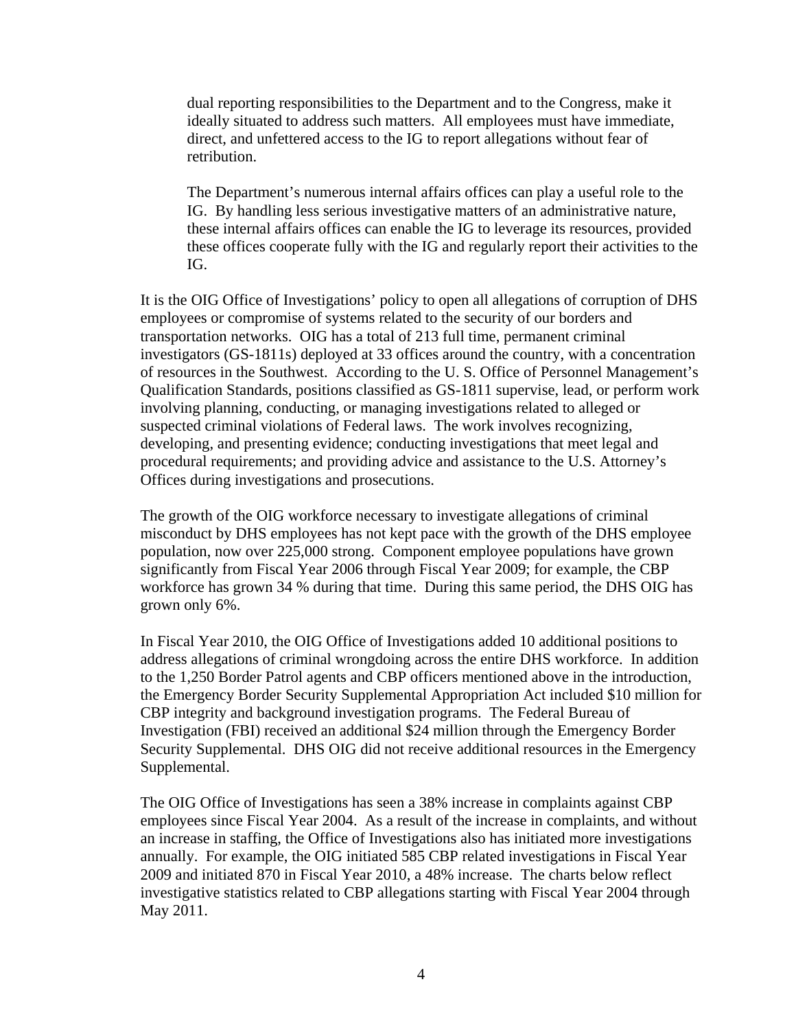dual reporting responsibilities to the Department and to the Congress, make it ideally situated to address such matters. All employees must have immediate, direct, and unfettered access to the IG to report allegations without fear of retribution.

The Department's numerous internal affairs offices can play a useful role to the IG. By handling less serious investigative matters of an administrative nature, these internal affairs offices can enable the IG to leverage its resources, provided these offices cooperate fully with the IG and regularly report their activities to the IG.

It is the OIG Office of Investigations' policy to open all allegations of corruption of DHS employees or compromise of systems related to the security of our borders and transportation networks. OIG has a total of 213 full time, permanent criminal investigators (GS-1811s) deployed at 33 offices around the country, with a concentration of resources in the Southwest. According to the U. S. Office of Personnel Management's Qualification Standards, positions classified as GS-1811 supervise, lead, or perform work involving planning, conducting, or managing investigations related to alleged or suspected criminal violations of Federal laws. The work involves recognizing, developing, and presenting evidence; conducting investigations that meet legal and procedural requirements; and providing advice and assistance to the U.S. Attorney's Offices during investigations and prosecutions.

The growth of the OIG workforce necessary to investigate allegations of criminal misconduct by DHS employees has not kept pace with the growth of the DHS employee population, now over 225,000 strong. Component employee populations have grown significantly from Fiscal Year 2006 through Fiscal Year 2009; for example, the CBP workforce has grown 34 % during that time. During this same period, the DHS OIG has grown only 6%.

In Fiscal Year 2010, the OIG Office of Investigations added 10 additional positions to address allegations of criminal wrongdoing across the entire DHS workforce. In addition to the 1,250 Border Patrol agents and CBP officers mentioned above in the introduction, the Emergency Border Security Supplemental Appropriation Act included \$10 million for CBP integrity and background investigation programs. The Federal Bureau of Investigation (FBI) received an additional \$24 million through the Emergency Border Security Supplemental. DHS OIG did not receive additional resources in the Emergency Supplemental.

The OIG Office of Investigations has seen a 38% increase in complaints against CBP employees since Fiscal Year 2004. As a result of the increase in complaints, and without an increase in staffing, the Office of Investigations also has initiated more investigations annually. For example, the OIG initiated 585 CBP related investigations in Fiscal Year 2009 and initiated 870 in Fiscal Year 2010, a 48% increase. The charts below reflect investigative statistics related to CBP allegations starting with Fiscal Year 2004 through May 2011.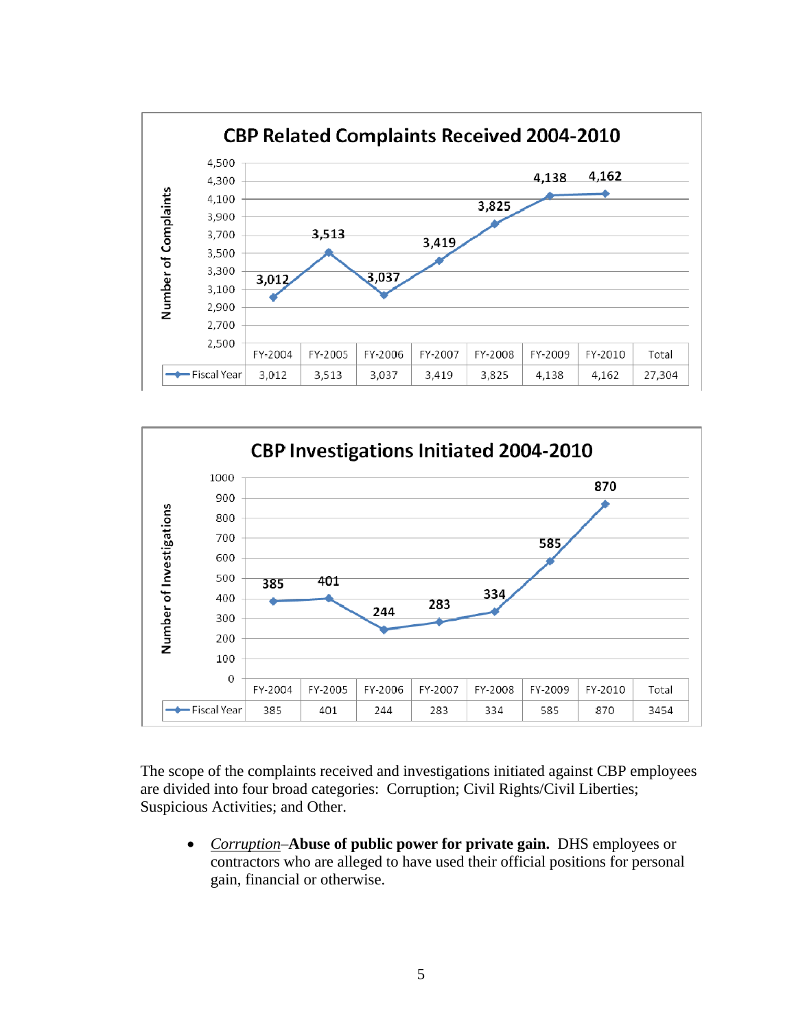



The scope of the complaints received and investigations initiated against CBP employees are divided into four broad categories: Corruption; Civil Rights/Civil Liberties; Suspicious Activities; and Other.

• *Corruption*–**Abuse of public power for private gain.** DHS employees or contractors who are alleged to have used their official positions for personal gain, financial or otherwise.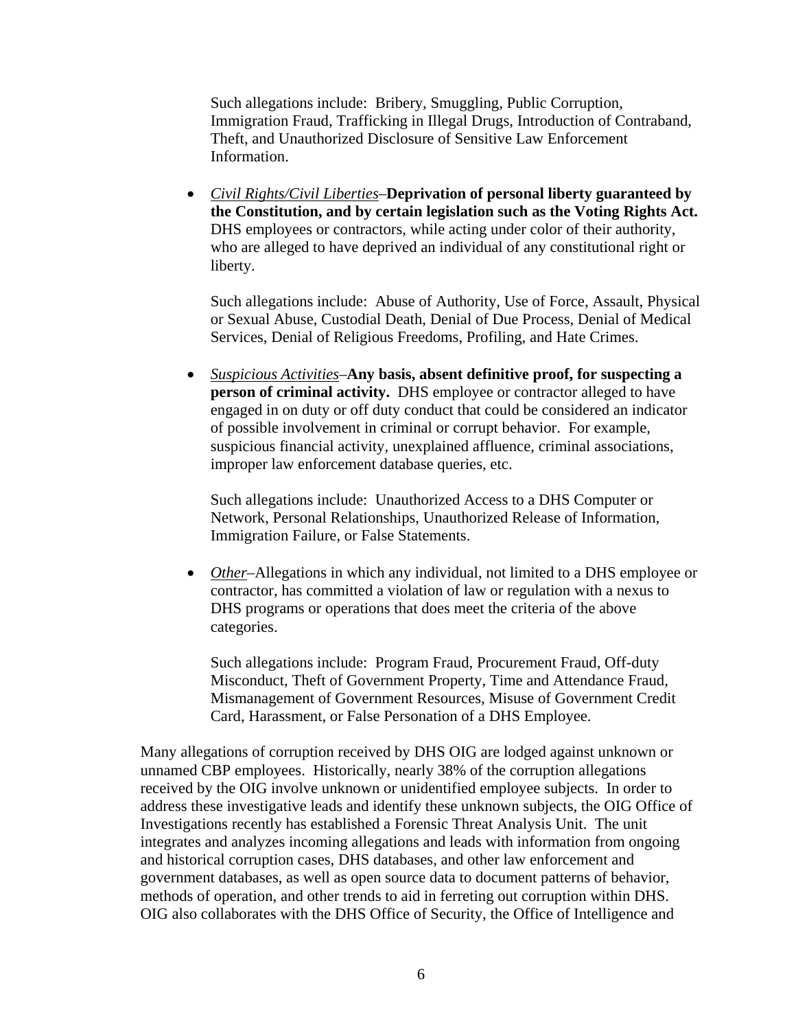Such allegations include: Bribery, Smuggling, Public Corruption, Immigration Fraud, Trafficking in Illegal Drugs, Introduction of Contraband, Theft, and Unauthorized Disclosure of Sensitive Law Enforcement Information.

• *Civil Rights/Civil Liberties*–**Deprivation of personal liberty guaranteed by the Constitution, and by certain legislation such as the Voting Rights Act.**  DHS employees or contractors, while acting under color of their authority, who are alleged to have deprived an individual of any constitutional right or liberty.

Such allegations include: Abuse of Authority, Use of Force, Assault, Physical or Sexual Abuse, Custodial Death, Denial of Due Process, Denial of Medical Services, Denial of Religious Freedoms, Profiling, and Hate Crimes.

• *Suspicious Activities*–**Any basis, absent definitive proof, for suspecting a person of criminal activity.** DHS employee or contractor alleged to have engaged in on duty or off duty conduct that could be considered an indicator of possible involvement in criminal or corrupt behavior. For example, suspicious financial activity, unexplained affluence, criminal associations, improper law enforcement database queries, etc.

Such allegations include: Unauthorized Access to a DHS Computer or Network, Personal Relationships, Unauthorized Release of Information, Immigration Failure, or False Statements.

• *Other*–Allegations in which any individual, not limited to a DHS employee or contractor, has committed a violation of law or regulation with a nexus to DHS programs or operations that does meet the criteria of the above categories.

Such allegations include: Program Fraud, Procurement Fraud, Off-duty Misconduct, Theft of Government Property, Time and Attendance Fraud, Mismanagement of Government Resources, Misuse of Government Credit Card, Harassment, or False Personation of a DHS Employee.

Many allegations of corruption received by DHS OIG are lodged against unknown or unnamed CBP employees. Historically, nearly 38% of the corruption allegations received by the OIG involve unknown or unidentified employee subjects. In order to address these investigative leads and identify these unknown subjects, the OIG Office of Investigations recently has established a Forensic Threat Analysis Unit. The unit integrates and analyzes incoming allegations and leads with information from ongoing and historical corruption cases, DHS databases, and other law enforcement and government databases, as well as open source data to document patterns of behavior, methods of operation, and other trends to aid in ferreting out corruption within DHS. OIG also collaborates with the DHS Office of Security, the Office of Intelligence and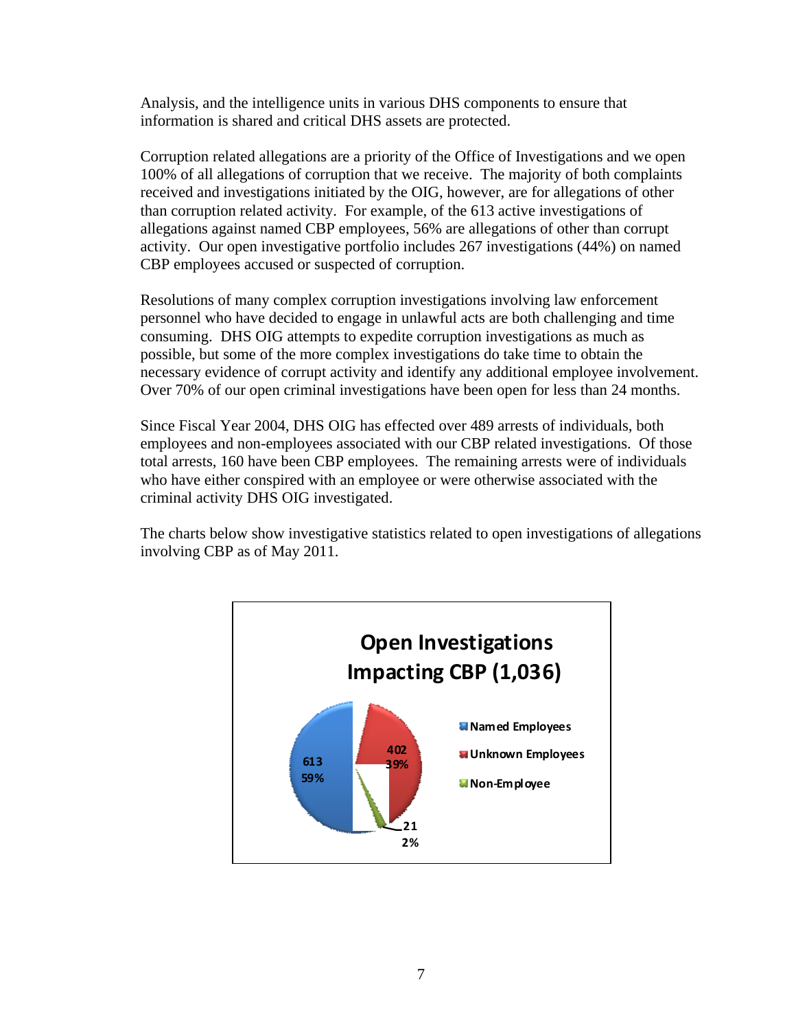Analysis, and the intelligence units in various DHS components to ensure that information is shared and critical DHS assets are protected.

Corruption related allegations are a priority of the Office of Investigations and we open 100% of all allegations of corruption that we receive. The majority of both complaints received and investigations initiated by the OIG, however, are for allegations of other than corruption related activity. For example, of the 613 active investigations of allegations against named CBP employees, 56% are allegations of other than corrupt activity. Our open investigative portfolio includes 267 investigations (44%) on named CBP employees accused or suspected of corruption.

Resolutions of many complex corruption investigations involving law enforcement personnel who have decided to engage in unlawful acts are both challenging and time consuming. DHS OIG attempts to expedite corruption investigations as much as possible, but some of the more complex investigations do take time to obtain the necessary evidence of corrupt activity and identify any additional employee involvement. Over 70% of our open criminal investigations have been open for less than 24 months.

Since Fiscal Year 2004, DHS OIG has effected over 489 arrests of individuals, both employees and non-employees associated with our CBP related investigations. Of those total arrests, 160 have been CBP employees. The remaining arrests were of individuals who have either conspired with an employee or were otherwise associated with the criminal activity DHS OIG investigated.

The charts below show investigative statistics related to open investigations of allegations involving CBP as of May 2011.

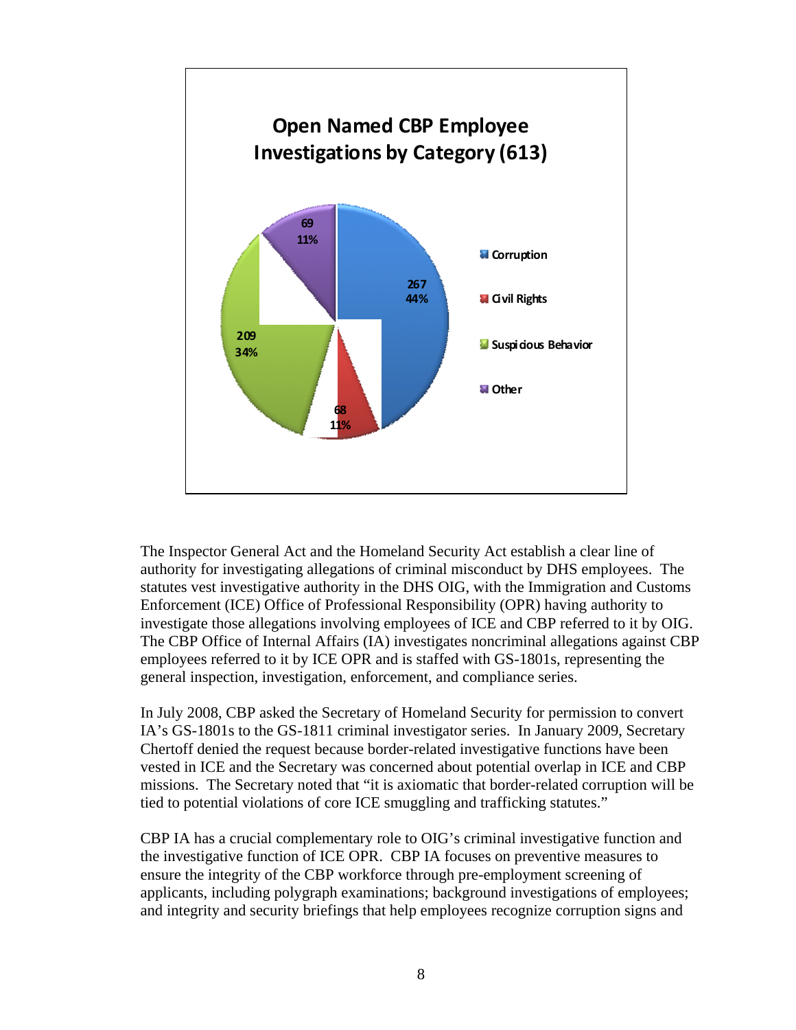

The Inspector General Act and the Homeland Security Act establish a clear line of authority for investigating allegations of criminal misconduct by DHS employees. The statutes vest investigative authority in the DHS OIG, with the Immigration and Customs Enforcement (ICE) Office of Professional Responsibility (OPR) having authority to investigate those allegations involving employees of ICE and CBP referred to it by OIG. The CBP Office of Internal Affairs (IA) investigates noncriminal allegations against CBP employees referred to it by ICE OPR and is staffed with GS-1801s, representing the general inspection, investigation, enforcement, and compliance series.

In July 2008, CBP asked the Secretary of Homeland Security for permission to convert IA's GS-1801s to the GS-1811 criminal investigator series. In January 2009, Secretary Chertoff denied the request because border-related investigative functions have been vested in ICE and the Secretary was concerned about potential overlap in ICE and CBP missions. The Secretary noted that "it is axiomatic that border-related corruption will be tied to potential violations of core ICE smuggling and trafficking statutes."

CBP IA has a crucial complementary role to OIG's criminal investigative function and the investigative function of ICE OPR. CBP IA focuses on preventive measures to ensure the integrity of the CBP workforce through pre-employment screening of applicants, including polygraph examinations; background investigations of employees; and integrity and security briefings that help employees recognize corruption signs and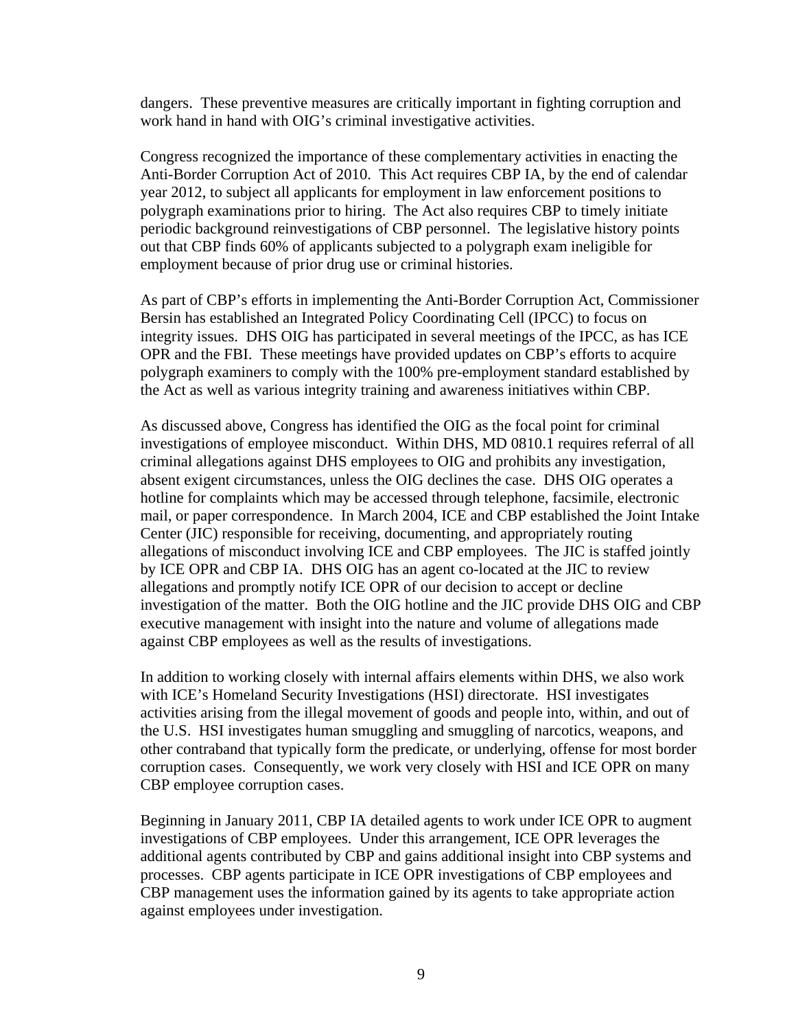dangers. These preventive measures are critically important in fighting corruption and work hand in hand with OIG's criminal investigative activities.

Congress recognized the importance of these complementary activities in enacting the Anti-Border Corruption Act of 2010. This Act requires CBP IA, by the end of calendar year 2012, to subject all applicants for employment in law enforcement positions to polygraph examinations prior to hiring. The Act also requires CBP to timely initiate periodic background reinvestigations of CBP personnel. The legislative history points out that CBP finds 60% of applicants subjected to a polygraph exam ineligible for employment because of prior drug use or criminal histories.

As part of CBP's efforts in implementing the Anti-Border Corruption Act, Commissioner Bersin has established an Integrated Policy Coordinating Cell (IPCC) to focus on integrity issues. DHS OIG has participated in several meetings of the IPCC, as has ICE OPR and the FBI. These meetings have provided updates on CBP's efforts to acquire polygraph examiners to comply with the 100% pre-employment standard established by the Act as well as various integrity training and awareness initiatives within CBP.

As discussed above, Congress has identified the OIG as the focal point for criminal investigations of employee misconduct. Within DHS, MD 0810.1 requires referral of all criminal allegations against DHS employees to OIG and prohibits any investigation, absent exigent circumstances, unless the OIG declines the case. DHS OIG operates a hotline for complaints which may be accessed through telephone, facsimile, electronic mail, or paper correspondence. In March 2004, ICE and CBP established the Joint Intake Center (JIC) responsible for receiving, documenting, and appropriately routing allegations of misconduct involving ICE and CBP employees. The JIC is staffed jointly by ICE OPR and CBP IA. DHS OIG has an agent co-located at the JIC to review allegations and promptly notify ICE OPR of our decision to accept or decline investigation of the matter. Both the OIG hotline and the JIC provide DHS OIG and CBP executive management with insight into the nature and volume of allegations made against CBP employees as well as the results of investigations.

In addition to working closely with internal affairs elements within DHS, we also work with ICE's Homeland Security Investigations (HSI) directorate. HSI investigates activities arising from the illegal movement of goods and people into, within, and out of the U.S. HSI investigates human smuggling and smuggling of narcotics, weapons, and other contraband that typically form the predicate, or underlying, offense for most border corruption cases. Consequently, we work very closely with HSI and ICE OPR on many CBP employee corruption cases.

Beginning in January 2011, CBP IA detailed agents to work under ICE OPR to augment investigations of CBP employees. Under this arrangement, ICE OPR leverages the additional agents contributed by CBP and gains additional insight into CBP systems and processes. CBP agents participate in ICE OPR investigations of CBP employees and CBP management uses the information gained by its agents to take appropriate action against employees under investigation.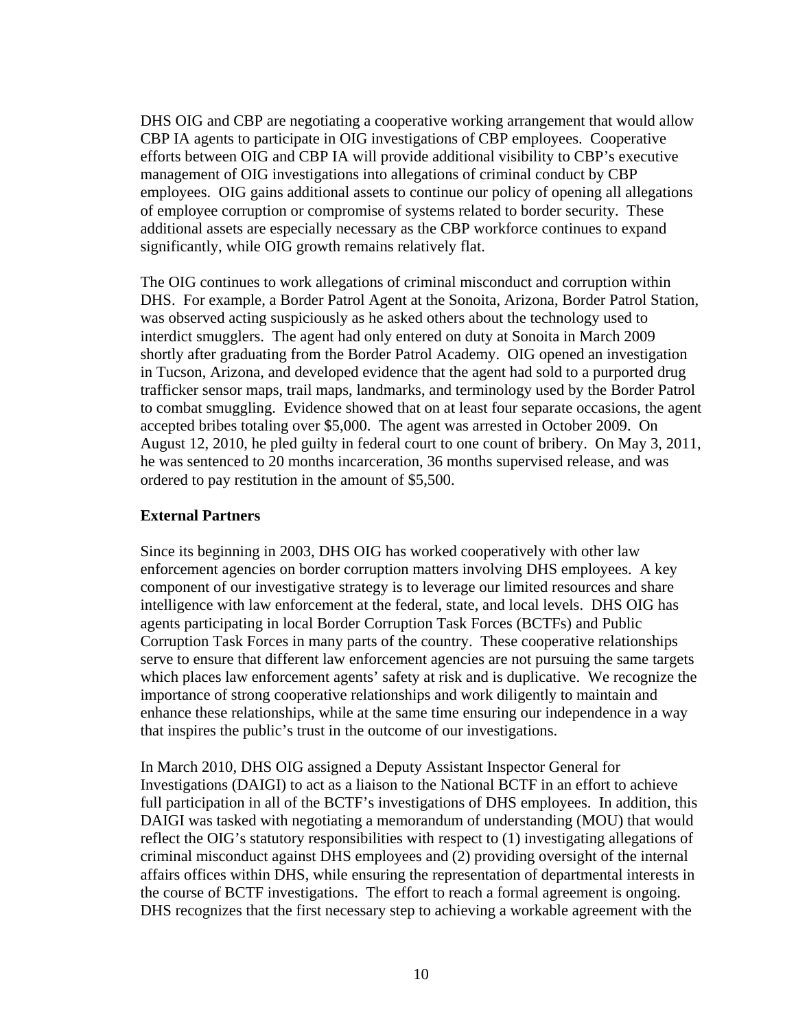DHS OIG and CBP are negotiating a cooperative working arrangement that would allow CBP IA agents to participate in OIG investigations of CBP employees. Cooperative efforts between OIG and CBP IA will provide additional visibility to CBP's executive management of OIG investigations into allegations of criminal conduct by CBP employees. OIG gains additional assets to continue our policy of opening all allegations of employee corruption or compromise of systems related to border security. These additional assets are especially necessary as the CBP workforce continues to expand significantly, while OIG growth remains relatively flat.

The OIG continues to work allegations of criminal misconduct and corruption within DHS. For example, a Border Patrol Agent at the Sonoita, Arizona, Border Patrol Station, was observed acting suspiciously as he asked others about the technology used to interdict smugglers. The agent had only entered on duty at Sonoita in March 2009 shortly after graduating from the Border Patrol Academy. OIG opened an investigation in Tucson, Arizona, and developed evidence that the agent had sold to a purported drug trafficker sensor maps, trail maps, landmarks, and terminology used by the Border Patrol to combat smuggling. Evidence showed that on at least four separate occasions, the agent accepted bribes totaling over \$5,000. The agent was arrested in October 2009. On August 12, 2010, he pled guilty in federal court to one count of bribery. On May 3, 2011, he was sentenced to 20 months incarceration, 36 months supervised release, and was ordered to pay restitution in the amount of \$5,500.

### **External Partners**

Since its beginning in 2003, DHS OIG has worked cooperatively with other law enforcement agencies on border corruption matters involving DHS employees. A key component of our investigative strategy is to leverage our limited resources and share intelligence with law enforcement at the federal, state, and local levels. DHS OIG has agents participating in local Border Corruption Task Forces (BCTFs) and Public Corruption Task Forces in many parts of the country. These cooperative relationships serve to ensure that different law enforcement agencies are not pursuing the same targets which places law enforcement agents' safety at risk and is duplicative. We recognize the importance of strong cooperative relationships and work diligently to maintain and enhance these relationships, while at the same time ensuring our independence in a way that inspires the public's trust in the outcome of our investigations.

In March 2010, DHS OIG assigned a Deputy Assistant Inspector General for Investigations (DAIGI) to act as a liaison to the National BCTF in an effort to achieve full participation in all of the BCTF's investigations of DHS employees. In addition, this DAIGI was tasked with negotiating a memorandum of understanding (MOU) that would reflect the OIG's statutory responsibilities with respect to (1) investigating allegations of criminal misconduct against DHS employees and (2) providing oversight of the internal affairs offices within DHS, while ensuring the representation of departmental interests in the course of BCTF investigations. The effort to reach a formal agreement is ongoing. DHS recognizes that the first necessary step to achieving a workable agreement with the